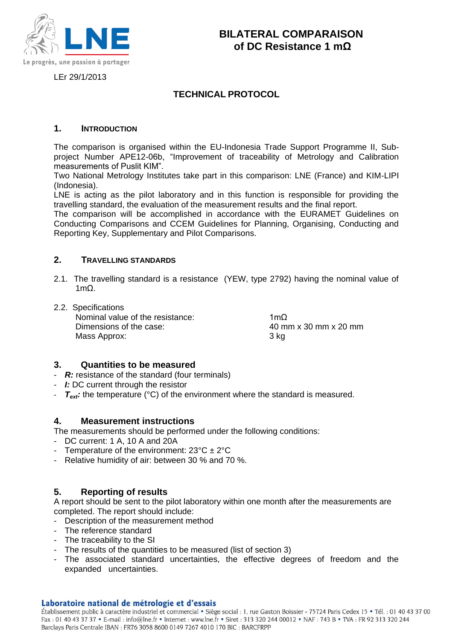

LEr 29/1/2013

## **TECHNICAL PROTOCOL**

## **1. INTRODUCTION**

The comparison is organised within the EU-Indonesia Trade Support Programme II, Subproject Number APE12-06b, "Improvement of traceability of Metrology and Calibration measurements of Puslit KIM".

Two National Metrology Institutes take part in this comparison: LNE (France) and KIM-LIPI (Indonesia).

LNE is acting as the pilot laboratory and in this function is responsible for providing the travelling standard, the evaluation of the measurement results and the final report.

The comparison will be accomplished in accordance with the EURAMET Guidelines on Conducting Comparisons and CCEM Guidelines for Planning, Organising, Conducting and Reporting Key, Supplementary and Pilot Comparisons.

## **2. TRAVELLING STANDARDS**

- 2.1. The travelling standard is a resistance (YEW, type 2792) having the nominal value of 1mΩ.
- 2.2. Specifications Nominal value of the resistance:  $1 \text{m}\Omega$ Dimensions of the case: 40 mm x 30 mm x 20 mm Mass Approx: 3 kg

## **3. Quantities to be measured**

- *R:* resistance of the standard (four terminals)
- *I:* DC current through the resistor
- *Text:* the temperature (°C) of the environment where the standard is measured.

#### **4. Measurement instructions**

The measurements should be performed under the following conditions:

- DC current: 1 A, 10 A and 20A
- Temperature of the environment:  $23^{\circ}C \pm 2^{\circ}C$
- Relative humidity of air: between 30 % and 70 %.

## **5. Reporting of results**

A report should be sent to the pilot laboratory within one month after the measurements are completed. The report should include:

- Description of the measurement method
- The reference standard
- The traceability to the SI
- The results of the quantities to be measured (list of section 3)
- The associated standard uncertainties, the effective degrees of freedom and the expanded uncertainties.